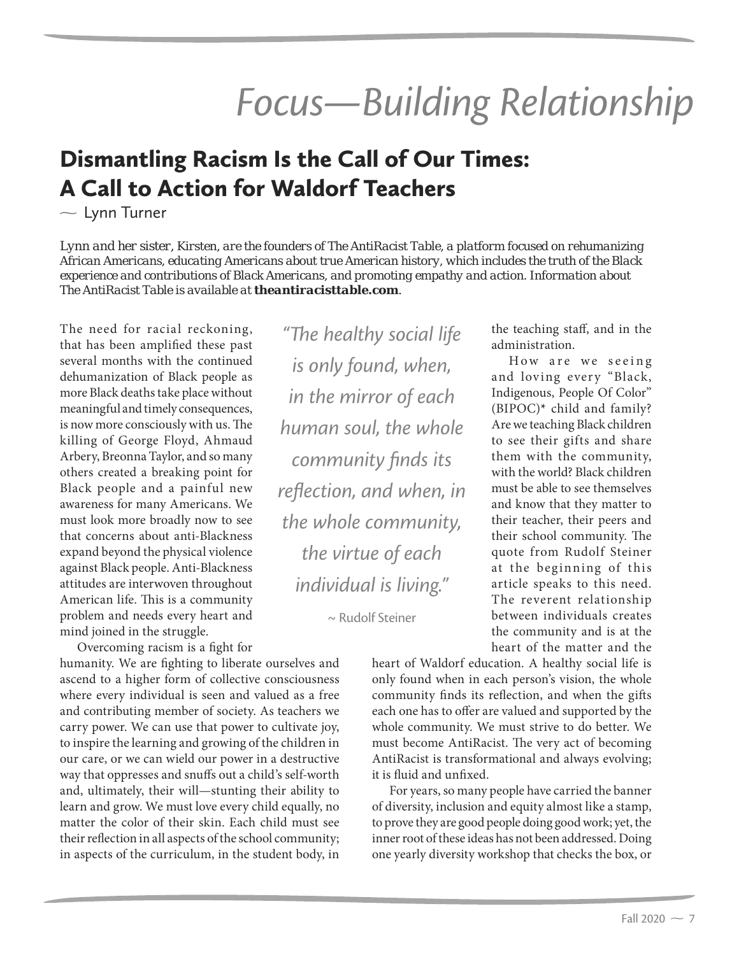# *Focus—Building Relationship*

# Dismantling Racism Is the Call of Our Times: A Call to Action for Waldorf Teachers

 $\sim$  Lynn Turner

*Lynn and her sister, Kirsten, are the founders of The AntiRacist Table, a platform focused on rehumanizing African Americans, educating Americans about true American history, which includes the truth of the Black experience and contributions of Black Americans, and promoting empathy and action. Information about The AntiRacist Table is available at theantiracisttable.com.*

The need for racial reckoning, that has been amplified these past several months with the continued dehumanization of Black people as more Black deaths take place without meaningful and timely consequences, is now more consciously with us. The killing of George Floyd, Ahmaud Arbery, Breonna Taylor, and so many others created a breaking point for Black people and a painful new awareness for many Americans. We must look more broadly now to see that concerns about anti-Blackness expand beyond the physical violence against Black people. Anti-Blackness attitudes are interwoven throughout American life. This is a community problem and needs every heart and mind joined in the struggle.

Overcoming racism is a fight for

humanity. We are fighting to liberate ourselves and ascend to a higher form of collective consciousness where every individual is seen and valued as a free and contributing member of society. As teachers we carry power. We can use that power to cultivate joy, to inspire the learning and growing of the children in our care, or we can wield our power in a destructive way that oppresses and snuffs out a child's self-worth and, ultimately, their will—stunting their ability to learn and grow. We must love every child equally, no matter the color of their skin. Each child must see their reflection in all aspects of the school community; in aspects of the curriculum, in the student body, in

*"The healthy social life is only found, when, in the mirror of each human soul, the whole community finds its reflection, and when, in the whole community, the virtue of each individual is living."* 

~ Rudolf Steiner

the teaching staff, and in the administration.

How are we seeing and loving every "Black, Indigenous, People Of Color" (BIPOC)**\*** child and family? Are we teaching Black children to see their gifts and share them with the community, with the world? Black children must be able to see themselves and know that they matter to their teacher, their peers and their school community. The quote from Rudolf Steiner at the beginning of this article speaks to this need. The reverent relationship between individuals creates the community and is at the heart of the matter and the

heart of Waldorf education. A healthy social life is only found when in each person's vision, the whole community finds its reflection, and when the gifts each one has to offer are valued and supported by the whole community. We must strive to do better. We must become AntiRacist. The very act of becoming AntiRacist is transformational and always evolving; it is fluid and unfixed.

For years, so many people have carried the banner of diversity, inclusion and equity almost like a stamp, to prove they are good people doing good work; yet, the inner root of these ideas has not been addressed. Doing one yearly diversity workshop that checks the box, or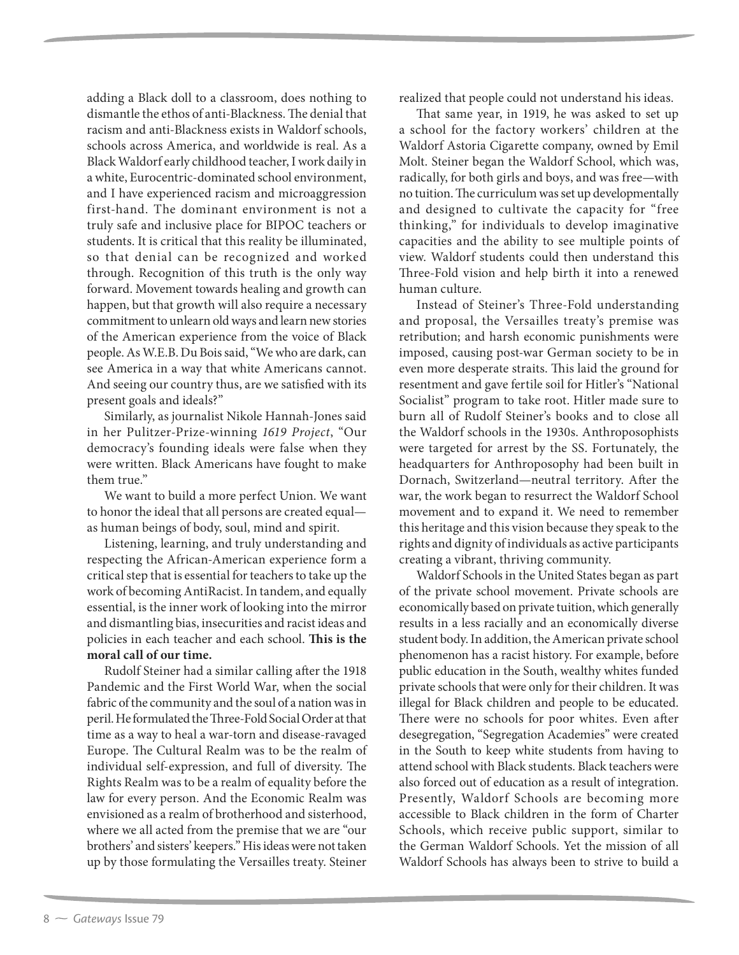adding a Black doll to a classroom, does nothing to dismantle the ethos of anti-Blackness. The denial that racism and anti-Blackness exists in Waldorf schools, schools across America, and worldwide is real. As a Black Waldorf early childhood teacher, I work daily in a white, Eurocentric-dominated school environment, and I have experienced racism and microaggression first-hand. The dominant environment is not a truly safe and inclusive place for BIPOC teachers or students. It is critical that this reality be illuminated, so that denial can be recognized and worked through. Recognition of this truth is the only way forward. Movement towards healing and growth can happen, but that growth will also require a necessary commitment to unlearn old ways and learn new stories of the American experience from the voice of Black people. As W.E.B. Du Bois said, "We who are dark, can see America in a way that white Americans cannot. And seeing our country thus, are we satisfied with its present goals and ideals?"

Similarly, as journalist Nikole Hannah-Jones said in her Pulitzer-Prize-winning 1619 Project, "Our democracy's founding ideals were false when they were written. Black Americans have fought to make them true."

We want to build a more perfect Union. We want to honor the ideal that all persons are created equal as human beings of body, soul, mind and spirit.

Listening, learning, and truly understanding and respecting the African-American experience form a critical step that is essential for teachers to take up the work of becoming AntiRacist. In tandem, and equally essential, is the inner work of looking into the mirror and dismantling bias, insecurities and racist ideas and policies in each teacher and each school. **This is the moral call of our time.**

Rudolf Steiner had a similar calling after the 1918 Pandemic and the First World War, when the social fabric of the community and the soul of a nation was in peril. He formulated the Three-Fold Social Order at that time as a way to heal a war-torn and disease-ravaged Europe. The Cultural Realm was to be the realm of individual self-expression, and full of diversity. The Rights Realm was to be a realm of equality before the law for every person. And the Economic Realm was envisioned as a realm of brotherhood and sisterhood, where we all acted from the premise that we are "our brothers' and sisters' keepers." His ideas were not taken up by those formulating the Versailles treaty. Steiner

realized that people could not understand his ideas.

That same year, in 1919, he was asked to set up a school for the factory workers' children at the Waldorf Astoria Cigarette company, owned by Emil Molt. Steiner began the Waldorf School, which was, radically, for both girls and boys, and was free—with no tuition. The curriculum was set up developmentally and designed to cultivate the capacity for "free thinking," for individuals to develop imaginative capacities and the ability to see multiple points of view. Waldorf students could then understand this Three-Fold vision and help birth it into a renewed human culture.

Instead of Steiner's Three-Fold understanding and proposal, the Versailles treaty's premise was retribution; and harsh economic punishments were imposed, causing post-war German society to be in even more desperate straits. This laid the ground for resentment and gave fertile soil for Hitler's "National Socialist" program to take root. Hitler made sure to burn all of Rudolf Steiner's books and to close all the Waldorf schools in the 1930s. Anthroposophists were targeted for arrest by the SS. Fortunately, the headquarters for Anthroposophy had been built in Dornach, Switzerland—neutral territory. After the war, the work began to resurrect the Waldorf School movement and to expand it. We need to remember this heritage and this vision because they speak to the rights and dignity of individuals as active participants creating a vibrant, thriving community.

Waldorf Schools in the United States began as part of the private school movement. Private schools are economically based on private tuition, which generally results in a less racially and an economically diverse student body. In addition, the American private school phenomenon has a racist history. For example, before public education in the South, wealthy whites funded private schools that were only for their children. It was illegal for Black children and people to be educated. There were no schools for poor whites. Even after desegregation, "Segregation Academies" were created in the South to keep white students from having to attend school with Black students. Black teachers were also forced out of education as a result of integration. Presently, Waldorf Schools are becoming more accessible to Black children in the form of Charter Schools, which receive public support, similar to the German Waldorf Schools. Yet the mission of all Waldorf Schools has always been to strive to build a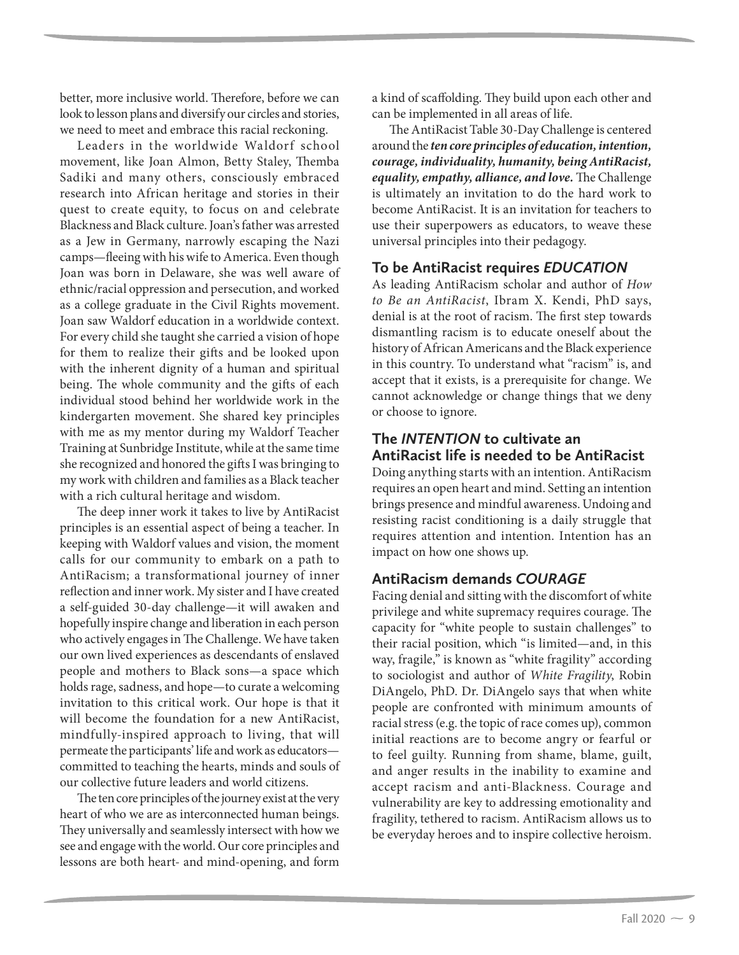better, more inclusive world. Therefore, before we can look to lesson plans and diversify our circles and stories, we need to meet and embrace this racial reckoning.

Leaders in the worldwide Waldorf school movement, like Joan Almon, Betty Staley, Themba Sadiki and many others, consciously embraced research into African heritage and stories in their quest to create equity, to focus on and celebrate Blackness and Black culture. Joan's father was arrested as a Jew in Germany, narrowly escaping the Nazi camps—fleeing with his wife to America. Even though Joan was born in Delaware, she was well aware of ethnic/racial oppression and persecution, and worked as a college graduate in the Civil Rights movement. Joan saw Waldorf education in a worldwide context. For every child she taught she carried a vision of hope for them to realize their gifts and be looked upon with the inherent dignity of a human and spiritual being. The whole community and the gifts of each individual stood behind her worldwide work in the kindergarten movement. She shared key principles with me as my mentor during my Waldorf Teacher Training at Sunbridge Institute, while at the same time she recognized and honored the gifts I was bringing to my work with children and families as a Black teacher with a rich cultural heritage and wisdom.

The deep inner work it takes to live by AntiRacist principles is an essential aspect of being a teacher. In keeping with Waldorf values and vision, the moment calls for our community to embark on a path to AntiRacism; a transformational journey of inner reflection and inner work. My sister and I have created a self-guided 30-day challenge—it will awaken and hopefully inspire change and liberation in each person who actively engages in The Challenge. We have taken our own lived experiences as descendants of enslaved people and mothers to Black sons—a space which holds rage, sadness, and hope—to curate a welcoming invitation to this critical work. Our hope is that it will become the foundation for a new AntiRacist, mindfully-inspired approach to living, that will permeate the participants' life and work as educators committed to teaching the hearts, minds and souls of our collective future leaders and world citizens.

The ten core principles of the journey exist at the very heart of who we are as interconnected human beings. They universally and seamlessly intersect with how we see and engage with the world. Our core principles and lessons are both heart- and mind-opening, and form

a kind of scaffolding. They build upon each other and can be implemented in all areas of life.

The AntiRacist Table 30-Day Challenge is centered around the *ten core principles of education, intention, courage, individuality, humanity, being AntiRacist, equality, empathy, alliance, and love.* The Challenge is ultimately an invitation to do the hard work to become AntiRacist. It is an invitation for teachers to use their superpowers as educators, to weave these universal principles into their pedagogy.

#### **To be AntiRacist requires** *EDUCATION*

As leading AntiRacism scholar and author of How to Be an AntiRacist, Ibram X. Kendi, PhD says, denial is at the root of racism. The first step towards dismantling racism is to educate oneself about the history of African Americans and the Black experience in this country. To understand what "racism" is, and accept that it exists, is a prerequisite for change. We cannot acknowledge or change things that we deny or choose to ignore.

#### **The** *INTENTION* **to cultivate an AntiRacist life is needed to be AntiRacist**

Doing anything starts with an intention. AntiRacism requires an open heart and mind. Setting an intention brings presence and mindful awareness. Undoing and resisting racist conditioning is a daily struggle that requires attention and intention. Intention has an impact on how one shows up.

#### **AntiRacism demands** *COURAGE*

Facing denial and sitting with the discomfort of white privilege and white supremacy requires courage. The capacity for "white people to sustain challenges" to their racial position, which "is limited—and, in this way, fragile," is known as "white fragility" according to sociologist and author of White Fragility, Robin DiAngelo, PhD. Dr. DiAngelo says that when white people are confronted with minimum amounts of racial stress (e.g. the topic of race comes up), common initial reactions are to become angry or fearful or to feel guilty. Running from shame, blame, guilt, and anger results in the inability to examine and accept racism and anti-Blackness. Courage and vulnerability are key to addressing emotionality and fragility, tethered to racism. AntiRacism allows us to be everyday heroes and to inspire collective heroism.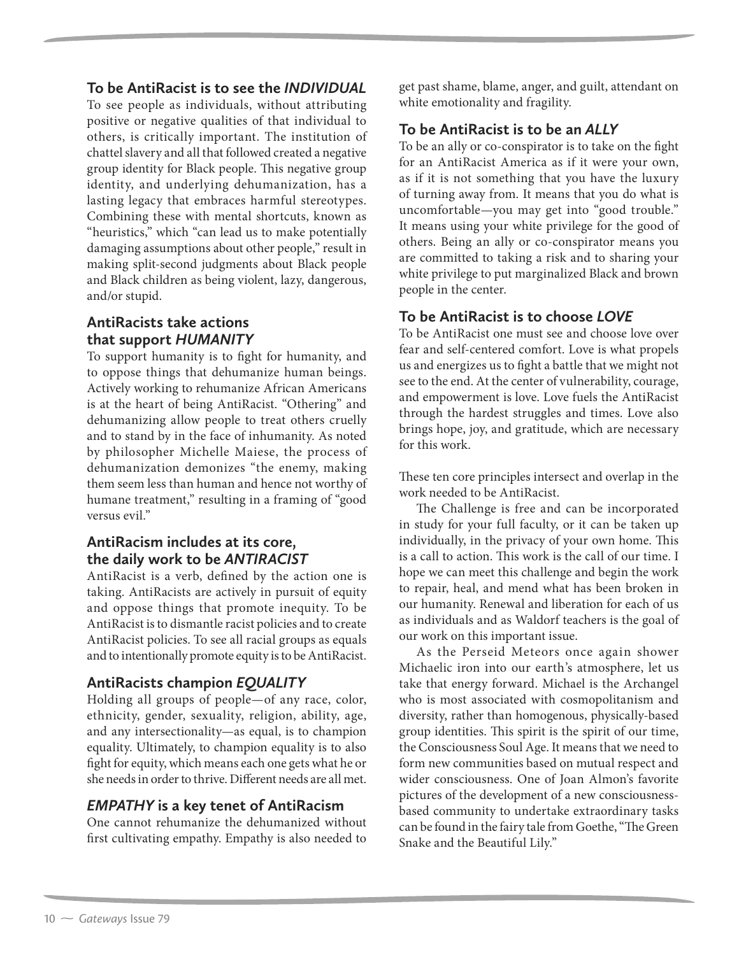### **To be AntiRacist is to see the** *INDIVIDUAL*

To see people as individuals, without attributing positive or negative qualities of that individual to others, is critically important. The institution of chattel slavery and all that followed created a negative group identity for Black people. This negative group identity, and underlying dehumanization, has a lasting legacy that embraces harmful stereotypes. Combining these with mental shortcuts, known as "heuristics," which "can lead us to make potentially damaging assumptions about other people," result in making split-second judgments about Black people and Black children as being violent, lazy, dangerous, and/or stupid.

#### **AntiRacists take actions that support** *HUMANITY*

To support humanity is to fight for humanity, and to oppose things that dehumanize human beings. Actively working to rehumanize African Americans is at the heart of being AntiRacist. "Othering" and dehumanizing allow people to treat others cruelly and to stand by in the face of inhumanity. As noted by philosopher Michelle Maiese, the process of dehumanization demonizes "the enemy, making them seem less than human and hence not worthy of humane treatment," resulting in a framing of "good versus evil."

# **AntiRacism includes at its core, the daily work to be** *ANTIRACIST*

AntiRacist is a verb, defined by the action one is taking. AntiRacists are actively in pursuit of equity and oppose things that promote inequity. To be AntiRacist is to dismantle racist policies and to create AntiRacist policies. To see all racial groups as equals and to intentionally promote equity is to be AntiRacist.

# **AntiRacists champion** *EQUALITY*

Holding all groups of people—of any race, color, ethnicity, gender, sexuality, religion, ability, age, and any intersectionality—as equal, is to champion equality. Ultimately, to champion equality is to also fight for equity, which means each one gets what he or she needs in order to thrive. Different needs are all met.

# *EMPATHY* **is a key tenet of AntiRacism**

One cannot rehumanize the dehumanized without first cultivating empathy. Empathy is also needed to

get past shame, blame, anger, and guilt, attendant on white emotionality and fragility.

# **To be AntiRacist is to be an** *ALLY*

To be an ally or co-conspirator is to take on the fight for an AntiRacist America as if it were your own, as if it is not something that you have the luxury of turning away from. It means that you do what is uncomfortable—you may get into "good trouble." It means using your white privilege for the good of others. Being an ally or co-conspirator means you are committed to taking a risk and to sharing your white privilege to put marginalized Black and brown people in the center.

# **To be AntiRacist is to choose** *LOVE*

To be AntiRacist one must see and choose love over fear and self-centered comfort. Love is what propels us and energizes us to fight a battle that we might not see to the end. At the center of vulnerability, courage, and empowerment is love. Love fuels the AntiRacist through the hardest struggles and times. Love also brings hope, joy, and gratitude, which are necessary for this work.

These ten core principles intersect and overlap in the work needed to be AntiRacist.

The Challenge is free and can be incorporated in study for your full faculty, or it can be taken up individually, in the privacy of your own home. This is a call to action. This work is the call of our time. I hope we can meet this challenge and begin the work to repair, heal, and mend what has been broken in our humanity. Renewal and liberation for each of us as individuals and as Waldorf teachers is the goal of our work on this important issue.

As the Perseid Meteors once again shower Michaelic iron into our earth's atmosphere, let us take that energy forward. Michael is the Archangel who is most associated with cosmopolitanism and diversity, rather than homogenous, physically-based group identities. This spirit is the spirit of our time, the Consciousness Soul Age. It means that we need to form new communities based on mutual respect and wider consciousness. One of Joan Almon's favorite pictures of the development of a new consciousnessbased community to undertake extraordinary tasks can be found in the fairy tale from Goethe, "The Green Snake and the Beautiful Lily."